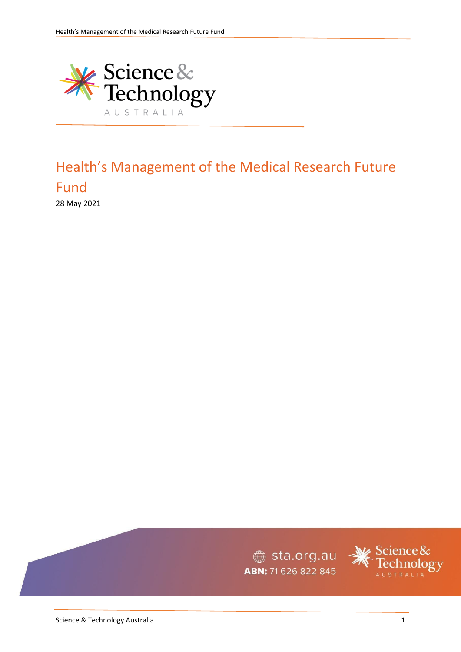

# Health's Management of the Medical Research Future Fund

28 May 2021

sta.org.au ABN: 71 626 822 845

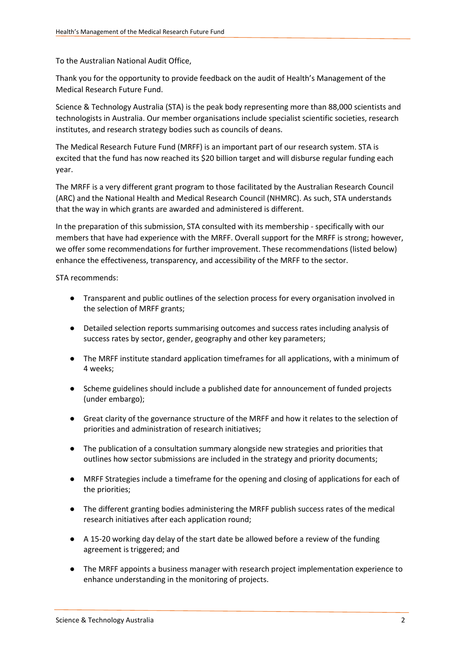To the Australian National Audit Office,

Thank you for the opportunity to provide feedback on the audit of Health's Management of the Medical Research Future Fund.

Science & Technology Australia (STA) is the peak body representing more than 88,000 scientists and technologists in Australia. Our member organisations include specialist scientific societies, research institutes, and research strategy bodies such as councils of deans.

The Medical Research Future Fund (MRFF) is an important part of our research system. STA is excited that the fund has now reached its \$20 billion target and will disburse regular funding each year.

The MRFF is a very different grant program to those facilitated by the Australian Research Council (ARC) and the National Health and Medical Research Council (NHMRC). As such, STA understands that the way in which grants are awarded and administered is different.

In the preparation of this submission, STA consulted with its membership - specifically with our members that have had experience with the MRFF. Overall support for the MRFF is strong; however, we offer some recommendations for further improvement. These recommendations (listed below) enhance the effectiveness, transparency, and accessibility of the MRFF to the sector.

STA recommends:

- Transparent and public outlines of the selection process for every organisation involved in the selection of MRFF grants;
- Detailed selection reports summarising outcomes and success rates including analysis of success rates by sector, gender, geography and other key parameters;
- The MRFF institute standard application timeframes for all applications, with a minimum of 4 weeks;
- Scheme guidelines should include a published date for announcement of funded projects (under embargo);
- Great clarity of the governance structure of the MRFF and how it relates to the selection of priorities and administration of research initiatives;
- The publication of a consultation summary alongside new strategies and priorities that outlines how sector submissions are included in the strategy and priority documents;
- MRFF Strategies include a timeframe for the opening and closing of applications for each of the priorities;
- The different granting bodies administering the MRFF publish success rates of the medical research initiatives after each application round;
- A 15-20 working day delay of the start date be allowed before a review of the funding agreement is triggered; and
- The MRFF appoints a business manager with research project implementation experience to enhance understanding in the monitoring of projects.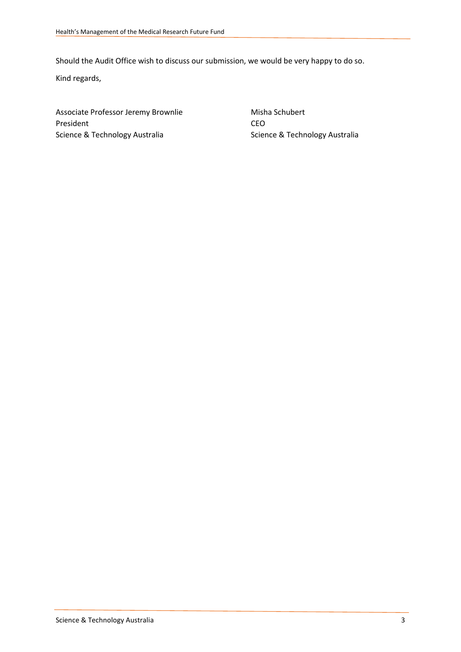Should the Audit Office wish to discuss our submission, we would be very happy to do so.

Kind regards,

Associate Professor Jeremy Brownlie Misha Schubert President CEO Science & Technology Australia Science & Technology Australia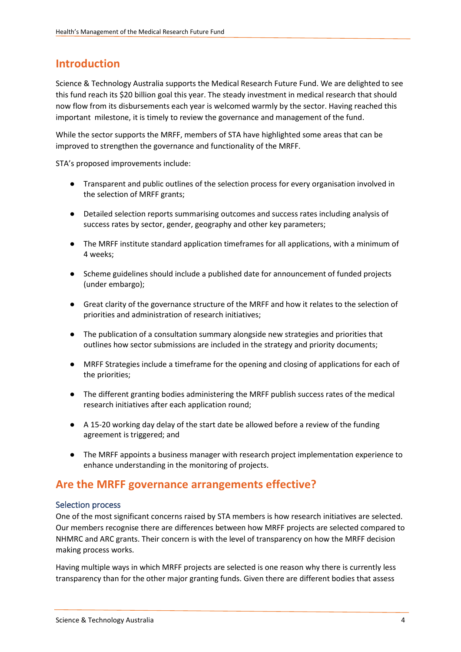### **Introduction**

Science & Technology Australia supports the Medical Research Future Fund. We are delighted to see this fund reach its \$20 billion goal this year. The steady investment in medical research that should now flow from its disbursements each year is welcomed warmly by the sector. Having reached this important milestone, it is timely to review the governance and management of the fund.

While the sector supports the MRFF, members of STA have highlighted some areas that can be improved to strengthen the governance and functionality of the MRFF.

STA's proposed improvements include:

- Transparent and public outlines of the selection process for every organisation involved in the selection of MRFF grants;
- Detailed selection reports summarising outcomes and success rates including analysis of success rates by sector, gender, geography and other key parameters;
- The MRFF institute standard application timeframes for all applications, with a minimum of 4 weeks;
- Scheme guidelines should include a published date for announcement of funded projects (under embargo);
- Great clarity of the governance structure of the MRFF and how it relates to the selection of priorities and administration of research initiatives;
- The publication of a consultation summary alongside new strategies and priorities that outlines how sector submissions are included in the strategy and priority documents;
- MRFF Strategies include a timeframe for the opening and closing of applications for each of the priorities;
- The different granting bodies administering the MRFF publish success rates of the medical research initiatives after each application round;
- A 15-20 working day delay of the start date be allowed before a review of the funding agreement is triggered; and
- The MRFF appoints a business manager with research project implementation experience to enhance understanding in the monitoring of projects.

### **Are the MRFF governance arrangements effective?**

#### Selection process

One of the most significant concerns raised by STA members is how research initiatives are selected. Our members recognise there are differences between how MRFF projects are selected compared to NHMRC and ARC grants. Their concern is with the level of transparency on how the MRFF decision making process works.

Having multiple ways in which MRFF projects are selected is one reason why there is currently less transparency than for the other major granting funds. Given there are different bodies that assess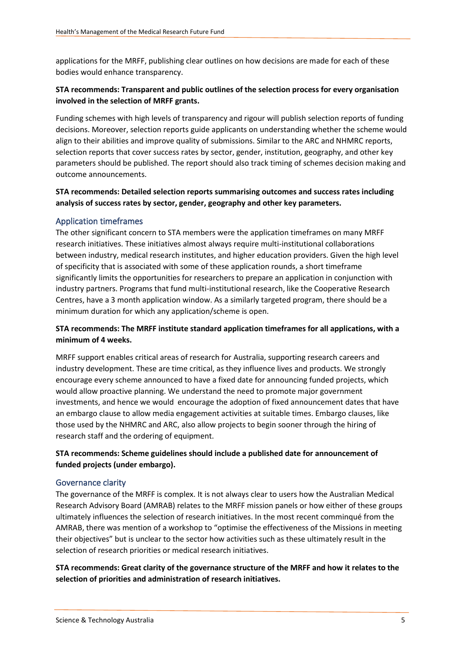applications for the MRFF, publishing clear outlines on how decisions are made for each of these bodies would enhance transparency.

#### **STA recommends: Transparent and public outlines of the selection process for every organisation involved in the selection of MRFF grants.**

Funding schemes with high levels of transparency and rigour will publish selection reports of funding decisions. Moreover, selection reports guide applicants on understanding whether the scheme would align to their abilities and improve quality of submissions. Similar to the ARC and NHMRC reports, selection reports that cover success rates by sector, gender, institution, geography, and other key parameters should be published. The report should also track timing of schemes decision making and outcome announcements.

#### **STA recommends: Detailed selection reports summarising outcomes and success rates including analysis of success rates by sector, gender, geography and other key parameters.**

#### Application timeframes

The other significant concern to STA members were the application timeframes on many MRFF research initiatives. These initiatives almost always require multi-institutional collaborations between industry, medical research institutes, and higher education providers. Given the high level of specificity that is associated with some of these application rounds, a short timeframe significantly limits the opportunities for researchers to prepare an application in conjunction with industry partners. Programs that fund multi-institutional research, like the Cooperative Research Centres, have a 3 month application window. As a similarly targeted program, there should be a minimum duration for which any application/scheme is open.

#### **STA recommends: The MRFF institute standard application timeframes for all applications, with a minimum of 4 weeks.**

MRFF support enables critical areas of research for Australia, supporting research careers and industry development. These are time critical, as they influence lives and products. We strongly encourage every scheme announced to have a fixed date for announcing funded projects, which would allow proactive planning. We understand the need to promote major government investments, and hence we would encourage the adoption of fixed announcement dates that have an embargo clause to allow media engagement activities at suitable times. Embargo clauses, like those used by the NHMRC and ARC, also allow projects to begin sooner through the hiring of research staff and the ordering of equipment.

#### **STA recommends: Scheme guidelines should include a published date for announcement of funded projects (under embargo).**

#### Governance clarity

The governance of the MRFF is complex. It is not always clear to users how the Australian Medical Research Advisory Board (AMRAB) relates to the MRFF mission panels or how either of these groups ultimately influences the selection of research initiatives. In the most recent comminqué from the AMRAB, there was mention of a workshop to "optimise the effectiveness of the Missions in meeting their objectives" but is unclear to the sector how activities such as these ultimately result in the selection of research priorities or medical research initiatives.

#### **STA recommends: Great clarity of the governance structure of the MRFF and how it relates to the selection of priorities and administration of research initiatives.**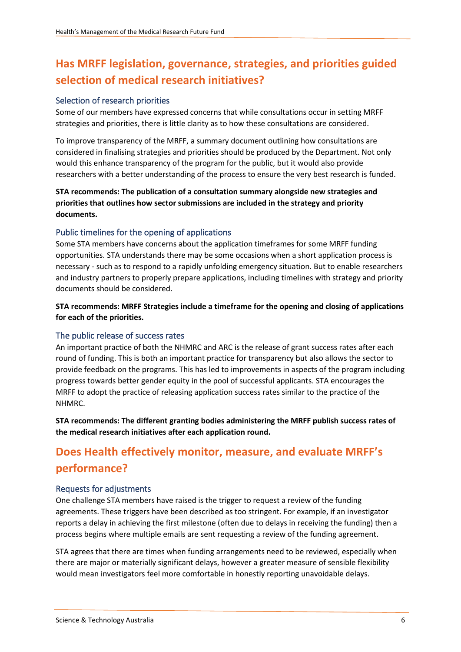## **Has MRFF legislation, governance, strategies, and priorities guided selection of medical research initiatives?**

#### Selection of research priorities

Some of our members have expressed concerns that while consultations occur in setting MRFF strategies and priorities, there is little clarity as to how these consultations are considered.

To improve transparency of the MRFF, a summary document outlining how consultations are considered in finalising strategies and priorities should be produced by the Department. Not only would this enhance transparency of the program for the public, but it would also provide researchers with a better understanding of the process to ensure the very best research is funded.

**STA recommends: The publication of a consultation summary alongside new strategies and priorities that outlines how sector submissions are included in the strategy and priority documents.** 

#### Public timelines for the opening of applications

Some STA members have concerns about the application timeframes for some MRFF funding opportunities. STA understands there may be some occasions when a short application process is necessary - such as to respond to a rapidly unfolding emergency situation. But to enable researchers and industry partners to properly prepare applications, including timelines with strategy and priority documents should be considered.

**STA recommends: MRFF Strategies include a timeframe for the opening and closing of applications for each of the priorities.** 

#### The public release of success rates

An important practice of both the NHMRC and ARC is the release of grant success rates after each round of funding. This is both an important practice for transparency but also allows the sector to provide feedback on the programs. This has led to improvements in aspects of the program including progress towards better gender equity in the pool of successful applicants. STA encourages the MRFF to adopt the practice of releasing application success rates similar to the practice of the NHMRC.

**STA recommends: The different granting bodies administering the MRFF publish success rates of the medical research initiatives after each application round.** 

## **Does Health effectively monitor, measure, and evaluate MRFF's performance?**

#### Requests for adjustments

One challenge STA members have raised is the trigger to request a review of the funding agreements. These triggers have been described as too stringent. For example, if an investigator reports a delay in achieving the first milestone (often due to delays in receiving the funding) then a process begins where multiple emails are sent requesting a review of the funding agreement.

STA agrees that there are times when funding arrangements need to be reviewed, especially when there are major or materially significant delays, however a greater measure of sensible flexibility would mean investigators feel more comfortable in honestly reporting unavoidable delays.